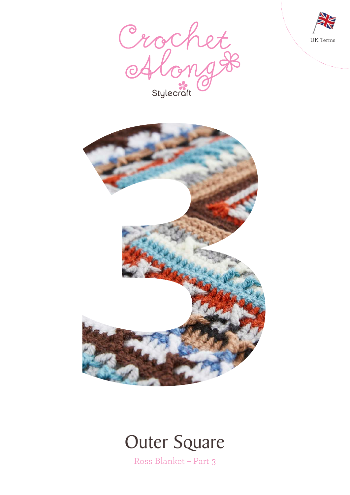







Ross Blanket – Part 3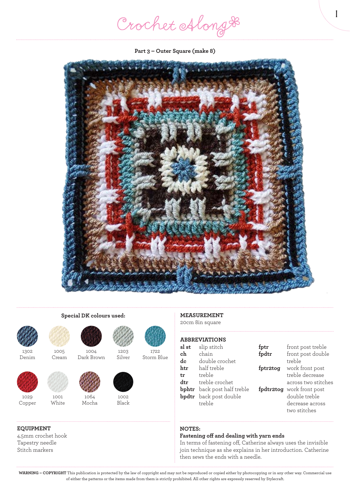Crochet Along #

1

**Part 3 – Outer Square (make 8)**





1302 Denim



1029 Copper

#### **EQUIPMENT**

4.5mm crochet hook Tapestry needle Stitch markers

 $1001$ White

1005 Cream



**Special DK colours used:**

1004 Dark Brown



Mocha



1722 Storm Blue



1203 Silver

Black

### **MEASUREMENT** 20cm 8in square

## **ABBREVIATIONS**

| sl st | slip stitch                        | fptr     | front post treble         |
|-------|------------------------------------|----------|---------------------------|
| ch    | chain                              | fpdtr    | front post double         |
| dc    | double crochet                     |          | treble                    |
| htr   | half treble                        | fptr2tog | work front post           |
| tr    | treble                             |          | treble decrease           |
| dtr   | treble crochet                     |          | across two stitches       |
|       | <b>bphtr</b> back post half treble |          | fpdtr2tog work front post |
|       | <b>bpdtr</b> back post double      |          | double treble             |
|       | treble                             |          | decrease across           |
|       |                                    |          | two stitches              |

#### **NOTES:**

#### **Fastening off and dealing with yarn ends**

In terms of fastening off, Catherine always uses the invisible join technique as she explains in her introduction. Catherine then sews the ends with a needle.

**WARNING – COPYRIGHT** This publication is protected by the law of copyright and may not be reproduced or copied either by photocopying or in any other way. Commercial use of either the patterns or the items made from them is strictly prohibited. All other rights are expressly reserved by Stylecraft.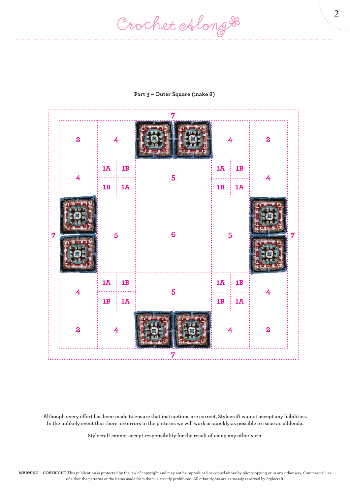Crochet Along #



#### **Part 3 – Outer Square (make 8)**

**Although every effort has been made to ensure that instructions are correct, Stylecraft cannot accept any liabilities. In the unlikely event that there are errors in the patterns we will work as quickly as possible to issue an addenda.**

**Stylecraft cannot accept responsibility for the result of using any other yarn.**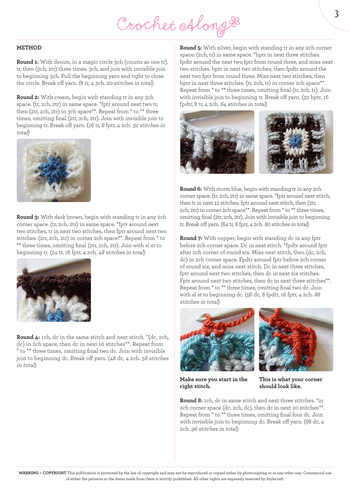Crochet Along &

#### **METHOD**

**Round 1:** With denim, in a magic circle 3ch (counts as one tr), tr, then (3ch, 2tr) three times. 3ch, and join with invisible join to beginning 3ch. Pull the beginning yarn end tight to close the circle. Break off yarn. (8 tr, 4 3ch. 20 stitches in total)

**Round 2:** With cream, begin with standing tr in any 3ch space. (tr, 2ch, 2tr) in same space. \*fptr around next two tr, then (2tr, 2ch, 2tr) in 3ch space\*\*. Repeat from \* to \*\* three times, omitting final (2tr, 2ch, 2tr). Join with invisible join to beginning tr. Break off yarn. (16 tr, 8 fptr, 4 2ch. 32 stitches in total)



**Round 3:** With dark brown, begin with standing tr in any 2ch corner space. (tr, 2ch, 2tr) in same space. \*fptr around next two stitches, tr in next two stitches, then fptr around next two stitches. (2tr, 2ch, 2tr) in corner 2ch space\*\*. Repeat from \* to \*\* three times, omitting final (2tr, 2ch, 2tr). Join with sl st to beginning tr. (24 tr, 16 fptr, 4 2ch. 48 stitches in total)



**Round 4:** 1ch, dc in the same stitch and next stitch. \*(dc, 2ch, dc) in 2ch space, then dc in next 10 stitches\*\*. Repeat from \* to \*\* three times, omitting final two dc. Join with invisible join to beginning dc. Break off yarn. (48 dc, 4 2ch. 56 stitches in total)

**Round 5:** With silver, begin with standing tr in any 2ch corner space. (2ch, tr) in same space. \*bptr in next three stitches. fpdtr around the next two fptr from round three, and miss next two stitches. bptr in next two stitches, then fpdtr around the next two fptr from round three. Miss next two stitches, then bptr in next three stitches. (tr, 2ch, tr) in corner 2ch space\*\*. Repeat from \* to \*\* three times, omitting final (tr, 2ch, tr). Join with invisible join to beginning tr. Break off yarn. (32 bptr, 16 fpdtr, 8 tr, 4 2ch. 64 stitches in total)



**Round 6:** With storm blue, begin with standing tr in any 2ch corner space. (tr, 2ch, 2tr) in same space. \*fptr around next stitch, then tr in next 12 stitches. fptr around next stitch, then (2tr, 2ch, 2tr) in corner 2ch space\*\*. Repeat from \* to \*\* three times, omitting final (2tr, 2ch, 2tr). Join with invisible join to beginning tr. Break off yarn. (64 tr, 8 fptr, 4 2ch. 80 stitches in total)

**Round 7:** With copper, begin with standing dc in any fptr before 2ch corner space. Dc in next stitch. \*fpdtr around fptr after 2ch corner of round six. Miss next stitch, then (dc, 2ch, dc) in 2ch corner space. Fpdtr around fptr before 2ch corner of round six, and miss next stitch. Dc in next three stitches, fptr around next two stitches, then dc in next six stitches. Fptr around next two stitches, then dc in next three stitches\*\*. Repeat from \* to \*\* three times, omitting final two dc. Join with sl st to beginning dc. (56 dc, 8 fpdtr, 16 fptr, 4 2ch. <sup>88</sup> stitches in total)





**Make sure you start in the This is what your corner right stitch. should look like.** 

**Round 8:** 1ch, dc in same stitch and next three stitches. \*in 2ch corner space (dc, 2ch, dc), then dc in next 20 stitches\*\*. Repeat from \* to \*\* three times, omitting final four dc. Join with invisible join to beginning dc. Break off yarn. (88 dc, 4 2ch. 96 stitches in total)